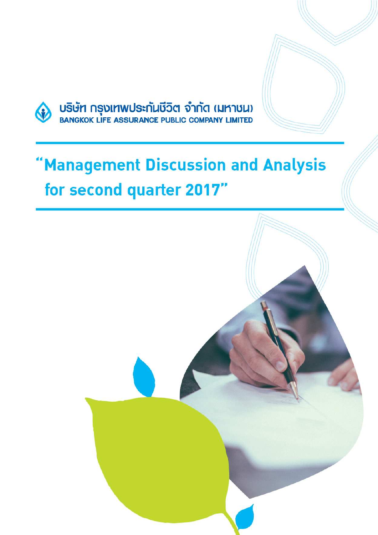

บริษัท กรุงเทพประกันชีวิต จำกัด (มหาชน)<br>BANGKOK LIFE ASSURANCE PUBLIC COMPANY LIMITED

# 'Management Discussion and Analysis for second quarter 2017"

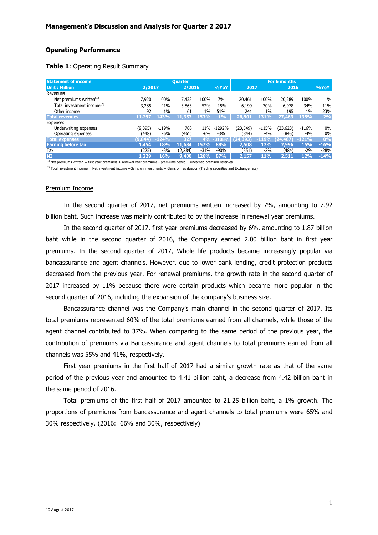## **Operating Performance**

| Table 1: Operating Result Summary |  |
|-----------------------------------|--|
|-----------------------------------|--|

| <b>Statement of income</b><br><b>Ouarter</b> |         |         |         |        |        | For 6 months       |         |                  |            |        |
|----------------------------------------------|---------|---------|---------|--------|--------|--------------------|---------|------------------|------------|--------|
| <b>Unit: Million</b>                         | 2/2017  |         | 2/2016  |        | %YoY   | 2017               |         | 2016             |            | %YoY   |
| Revenues                                     |         |         |         |        |        |                    |         |                  |            |        |
| Net premiums written $(1)$                   | 7.920   | 100%    | 7,433   | 100%   | 7%     | 20,461             | 100%    | 20,289           | 100%       | $1\%$  |
| Total investment income <sup>(2)</sup>       | 3,285   | 41%     | 3,863   | 52%    | $-15%$ | 6,199              | 30%     | 6,978            | 34%        | $-11%$ |
| Other income                                 | 92      | $1\%$   | 61      | $1\%$  | 51%    | 241                | $1\%$   | 195              | $1\%$      | 23%    |
| <b>Total revenues</b>                        | 11,297  | 143%    | 11,357  | 153%   | $-1\%$ | 26,901             | 131%    | 27,463           | 135%       | $-2%$  |
| Expenses                                     |         |         |         |        |        |                    |         |                  |            |        |
| Underwriting expenses                        | (9,395) | $-119%$ | 788     | 11%    | -1292% | (23,549)           | $-115%$ | (23, 623)        | $-116%$    | $0\%$  |
| Operating expenses                           | (448)   | $-6%$   | (461)   | -6%    | $-3%$  | (844)              | $-4%$   | (845)            | $-4%$      | 0%     |
| <b>Total expenses</b>                        | (9,844) | $-124%$ | 327     | 4%     |        | $-3108\%$ (24,393) |         | $-119%$ (24,467) | $-121%$    | 0%     |
| <b>Earning before tax</b>                    | 1,454   | 18%     | 11,684  | 157%   | 88%    | 2,508              | 12%     | 2,996            | <b>15%</b> | $-16%$ |
| Tax                                          | (225)   | $-3%$   | (2,284) | $-31%$ | $-90%$ | (351)              | $-2%$   | (484)            | $-2\%$     | $-28%$ |
| <b>NI</b>                                    | 1,229   | 16%     | 9,400   | 126%   | 87%    | 2,157              | 11%     | 2,511            | 12%        | $-14%$ |

 $<sup>(1)</sup>$  Net premiums written = first year premiums + renewal year premiums - premiums ceded  $\pm$  unearned premium reserves</sup>

 $(2)$  Total investment income = Net investment income +Gains on investments + Gains on revaluation (Trading securities and Exchange rate)

#### Premium Income

In the second quarter of 2017, net premiums written increased by 7%, amounting to 7.92 billion baht. Such increase was mainly contributed to by the increase in renewal year premiums.

In the second quarter of 2017, first year premiums decreased by 6%, amounting to 1.87 billion baht while in the second quarter of 2016, the Company earned 2.00 billion baht in first year premiums. In the second quarter of 2017, Whole life products became increasingly popular via bancassurance and agent channels. However, due to lower bank lending, credit protection products decreased from the previous year. For renewal premiums, the growth rate in the second quarter of 2017 increased by 11% because there were certain products which became more popular in the second quarter of 2016, including the expansion of the company's business size.

 Bancassurance channel was the Company's main channel in the second quarter of 2017. Its total premiums represented 60% of the total premiums earned from all channels, while those of the agent channel contributed to 37%. When comparing to the same period of the previous year, the contribution of premiums via Bancassurance and agent channels to total premiums earned from all channels was 55% and 41%, respectively.

First year premiums in the first half of 2017 had a similar growth rate as that of the same period of the previous year and amounted to 4.41 billion baht, a decrease from 4.42 billion baht in the same period of 2016.

Total premiums of the first half of 2017 amounted to 21.25 billion baht, a 1% growth. The proportions of premiums from bancassurance and agent channels to total premiums were 65% and 30% respectively. (2016: 66% and 30%, respectively)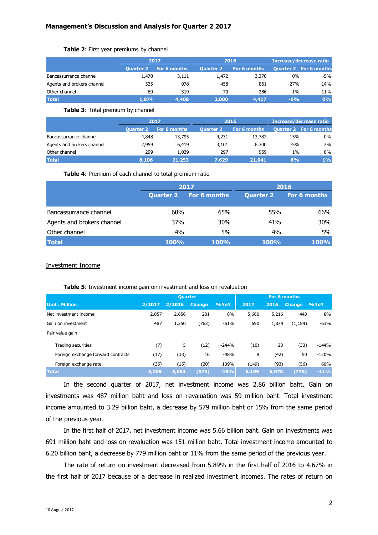| Table 2: First year premiums by channel |  |  |  |  |  |  |
|-----------------------------------------|--|--|--|--|--|--|
|-----------------------------------------|--|--|--|--|--|--|

|                            | 2017             |              |                  | 2016         | <b>Increase/decrease ratio</b> |                               |  |
|----------------------------|------------------|--------------|------------------|--------------|--------------------------------|-------------------------------|--|
|                            | <b>Ouarter 2</b> | For 6 months | <b>Ouarter 2</b> | For 6 months |                                | <b>Quarter 2 For 6 months</b> |  |
| Bancassurrance channel     | 1,470            | 3,111        | 1,472            | 3,270        | 0%                             | -5%                           |  |
| Agents and brokers channel | 335              | 978          | 458              | 861          | $-27%$                         | 14%                           |  |
| Other channel              | 69               | 319          | 70               | 286          | $-1\%$                         | 11%                           |  |
| <b>Total</b>               | 1.874            | 4,408        | 2,000            | 4,417        | $-6%$                          | 0%                            |  |

#### **Table 3**: Total premium by channel

|                            | 2017             |              |                  | 2016         | <b>Increase/decrease ratio</b> |                               |  |
|----------------------------|------------------|--------------|------------------|--------------|--------------------------------|-------------------------------|--|
|                            | <b>Ouarter 2</b> | For 6 months | <b>Ouarter 2</b> | For 6 months |                                | <b>Quarter 2 For 6 months</b> |  |
| Bancassurrance channel     | 4,848            | 13,795       | 4,231            | 13,782       | 15%                            | 0%                            |  |
| Agents and brokers channel | 2,959            | 6,419        | 3,101            | 6,300        | $-5%$                          | 2%                            |  |
| Other channel              | 299              | 1.039        | 297              | 959          | $1\%$                          | 8%                            |  |
| <b>Total</b>               | 8,106            | 21,253       | 7.629            | 21,041       | 6%                             | 1%                            |  |

**Table 4**: Premium of each channel to total premium ratio

|                            |                  | 2017                | 2016             |              |  |  |
|----------------------------|------------------|---------------------|------------------|--------------|--|--|
|                            | <b>Quarter 2</b> | <b>For 6 months</b> | <b>Quarter 2</b> | For 6 months |  |  |
|                            |                  |                     |                  |              |  |  |
| Bancassurrance channel     | 60%              | 65%                 | 55%              | 66%          |  |  |
| Agents and brokers channel | 37%              | 30%                 | 41%              | 30%          |  |  |
| Other channel              | 4%               | 5%                  | 4%               | 5%           |  |  |
| <b>Total</b>               | <b>100%</b>      | <b>100%</b>         | <b>100%</b>      | 100%         |  |  |

#### Investment Income

|                                    | <b>Quarter</b> |        |               |         |       |       | For 6 months  |         |
|------------------------------------|----------------|--------|---------------|---------|-------|-------|---------------|---------|
| <b>Unit: Million</b>               | 2/2017         | 2/2016 | <b>Change</b> | %YoY    | 2017  | 2016  | <b>Change</b> | %YoY    |
| Net investment income              | 2,857          | 2,656  | 201           | 8%      | 5,660 | 5,216 | 443           | 8%      |
| Gain on investment                 | 487            | 1,250  | (763)         | $-61%$  | 690   | 1,874 | (1, 184)      | $-63%$  |
| Fair value gain                    |                |        |               |         |       |       |               |         |
| Trading securities                 | (7)            | 5      | (12)          | $-244%$ | (10)  | 23    | (33)          | $-144%$ |
| Foreign exchange forward contracts | (17)           | (33)   | 16            | $-48%$  | 8     | (42)  | 50            | $-120%$ |
| Foreign exchange rate              | (35)           | (15)   | (20)          | 139%    | (149) | (93)  | (56)          | 60%     |
| <b>Total</b>                       | 3,285          | 3,863  | (579)         | $-15%$  | 6,199 | 6,978 | (779)         | $-11%$  |

#### **Table 5**: Investment income gain on investment and loss on revaluation

In the second quarter of 2017, net investment income was 2.86 billion baht. Gain on investments was 487 million baht and loss on revaluation was 59 million baht. Total investment income amounted to 3.29 billion baht, a decrease by 579 million baht or 15% from the same period of the previous year.

In the first half of 2017, net investment income was 5.66 billion baht. Gain on investments was 691 million baht and loss on revaluation was 151 million baht. Total investment income amounted to 6.20 billion baht, a decrease by 779 million baht or 11% from the same period of the previous year.

The rate of return on investment decreased from 5.89% in the first half of 2016 to 4.67% in the first half of 2017 because of a decrease in realized investment incomes. The rates of return on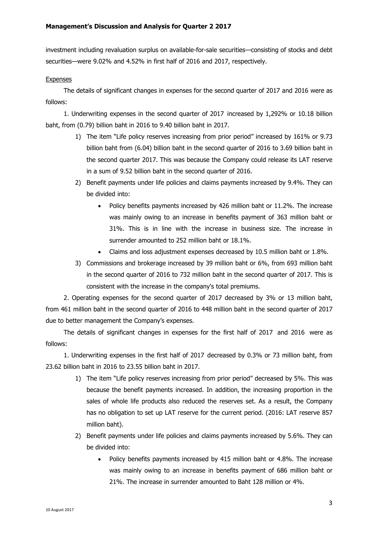investment including revaluation surplus on available-for-sale securities—consisting of stocks and debt securities—were 9.02% and 4.52% in first half of 2016 and 2017, respectively.

## **Expenses**

The details of significant changes in expenses for the second quarter of 2017 and 2016 were as follows:

1. Underwriting expenses in the second quarter of 2017 increased by 1,292% or 10.18 billion baht, from (0.79) billion baht in 2016 to 9.40 billion baht in 2017.

- 1) The item "Life policy reserves increasing from prior period" increased by 161% or 9.73 billion baht from (6.04) billion baht in the second quarter of 2016 to 3.69 billion baht in the second quarter 2017. This was because the Company could release its LAT reserve in a sum of 9.52 billion baht in the second quarter of 2016.
- 2) Benefit payments under life policies and claims payments increased by 9.4%. They can be divided into:
	- Policy benefits payments increased by 426 million baht or 11.2%. The increase was mainly owing to an increase in benefits payment of 363 million baht or 31%. This is in line with the increase in business size. The increase in surrender amounted to 252 million baht or 18.1%.
	- Claims and loss adjustment expenses decreased by 10.5 million baht or 1.8%.
- 3) Commissions and brokerage increased by 39 million baht or 6%, from 693 million baht in the second quarter of 2016 to 732 million baht in the second quarter of 2017. This is consistent with the increase in the company's total premiums.

2. Operating expenses for the second quarter of 2017 decreased by 3% or 13 million baht, from 461 million baht in the second quarter of 2016 to 448 million baht in the second quarter of 2017 due to better management the Company's expenses.

The details of significant changes in expenses for the first half of 2017 and 2016 were as follows:

1. Underwriting expenses in the first half of 2017 decreased by 0.3% or 73 million baht, from 23.62 billion baht in 2016 to 23.55 billion baht in 2017.

- 1) The item "Life policy reserves increasing from prior period" decreased by 5%. This was because the benefit payments increased. In addition, the increasing proportion in the sales of whole life products also reduced the reserves set. As a result, the Company has no obligation to set up LAT reserve for the current period. (2016: LAT reserve 857 million baht).
- 2) Benefit payments under life policies and claims payments increased by 5.6%. They can be divided into:
	- Policy benefits payments increased by 415 million baht or 4.8%. The increase was mainly owing to an increase in benefits payment of 686 million baht or 21%. The increase in surrender amounted to Baht 128 million or 4%.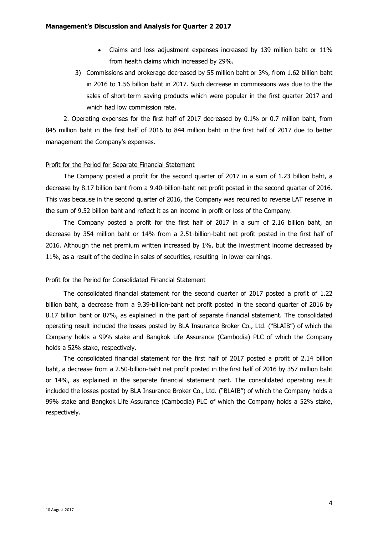- Claims and loss adjustment expenses increased by 139 million baht or 11% from health claims which increased by 29%.
- 3) Commissions and brokerage decreased by 55 million baht or 3%, from 1.62 billion baht in 2016 to 1.56 billion baht in 2017. Such decrease in commissions was due to the the sales of short-term saving products which were popular in the first quarter 2017 and which had low commission rate.

2. Operating expenses for the first half of 2017 decreased by 0.1% or 0.7 million baht, from 845 million baht in the first half of 2016 to 844 million baht in the first half of 2017 due to better management the Company's expenses.

## Profit for the Period for Separate Financial Statement

The Company posted a profit for the second quarter of 2017 in a sum of 1.23 billion baht, a decrease by 8.17 billion baht from a 9.40-billion-baht net profit posted in the second quarter of 2016. This was because in the second quarter of 2016, the Company was required to reverse LAT reserve in the sum of 9.52 billion baht and reflect it as an income in profit or loss of the Company.

The Company posted a profit for the first half of 2017 in a sum of 2.16 billion baht, an decrease by 354 million baht or 14% from a 2.51-billion-baht net profit posted in the first half of 2016. Although the net premium written increased by 1%, but the investment income decreased by 11%, as a result of the decline in sales of securities, resulting in lower earnings.

#### Profit for the Period for Consolidated Financial Statement

The consolidated financial statement for the second quarter of 2017 posted a profit of 1.22 billion baht, a decrease from a 9.39-billion-baht net profit posted in the second quarter of 2016 by 8.17 billion baht or 87%, as explained in the part of separate financial statement. The consolidated operating result included the losses posted by BLA Insurance Broker Co., Ltd. ("BLAIB") of which the Company holds a 99% stake and Bangkok Life Assurance (Cambodia) PLC of which the Company holds a 52% stake, respectively.

The consolidated financial statement for the first half of 2017 posted a profit of 2.14 billion baht, a decrease from a 2.50-billion-baht net profit posted in the first half of 2016 by 357 million baht or 14%, as explained in the separate financial statement part. The consolidated operating result included the losses posted by BLA Insurance Broker Co., Ltd. ("BLAIB") of which the Company holds a 99% stake and Bangkok Life Assurance (Cambodia) PLC of which the Company holds a 52% stake, respectively.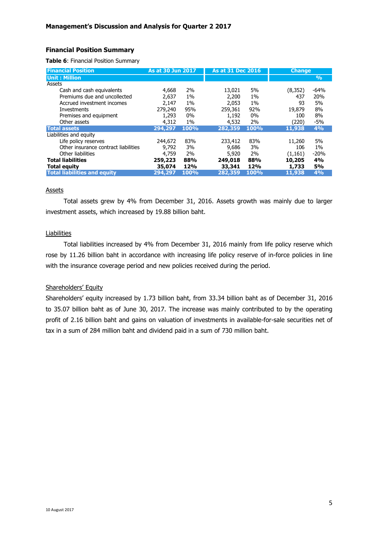# **Financial Position Summary**

**Table 6**: Financial Position Summary

| <b>Financial Position</b>            | <b>As at 30 Jun 2017</b> |       |         | <b>As at 31 Dec 2016</b> |          | <b>Change</b> |
|--------------------------------------|--------------------------|-------|---------|--------------------------|----------|---------------|
| <b>Unit: Million</b>                 |                          |       |         |                          |          | $\frac{9}{6}$ |
| Assets                               |                          |       |         |                          |          |               |
| Cash and cash equivalents            | 4,668                    | 2%    | 13,021  | 5%                       | (8, 352) | $-64%$        |
| Premiums due and uncollected         | 2.637                    | $1\%$ | 2,200   | $1\%$                    | 437      | 20%           |
| Accrued investment incomes           | 2.147                    | $1\%$ | 2.053   | 1%                       | 93       | 5%            |
| Investments                          | 279,240                  | 95%   | 259,361 | 92%                      | 19,879   | 8%            |
| Premises and equipment               | 1,293                    | 0%    | 1,192   | 0%                       | 100      | 8%            |
| Other assets                         | 4,312                    | 1%    | 4,532   | 2%                       | (220)    | $-5%$         |
| <b>Total assets</b>                  | 294,297                  | 100%  | 282,359 | 100%                     | 11,938   | 4%            |
| Liabilities and equity               |                          |       |         |                          |          |               |
| Life policy reserves                 | 244,672                  | 83%   | 233,412 | 83%                      | 11,260   | 5%            |
| Other insurance contract liabilities | 9.792                    | 3%    | 9,686   | 3%                       | 106      | 1%            |
| Other liabilities                    | 4,759                    | 2%    | 5,920   | 2%                       | (1,161)  | $-20%$        |
| <b>Total liabilities</b>             | 259,223                  | 88%   | 249,018 | 88%                      | 10,205   | 4%            |
| <b>Total equity</b>                  | 35,074                   | 12%   | 33,341  | 12%                      | 1,733    | <b>5%</b>     |
| <b>Total liabilities and equity</b>  | 294,297                  | 100%  | 282,359 | 100%                     | 11,938   | 4%            |

#### **Assets**

Total assets grew by 4% from December 31, 2016. Assets growth was mainly due to larger investment assets, which increased by 19.88 billion baht.

#### Liabilities

Total liabilities increased by 4% from December 31, 2016 mainly from life policy reserve which rose by 11.26 billion baht in accordance with increasing life policy reserve of in-force policies in line with the insurance coverage period and new policies received during the period.

## Shareholders' Equity

Shareholders' equity increased by 1.73 billion baht, from 33.34 billion baht as of December 31, 2016 to 35.07 billion baht as of June 30, 2017. The increase was mainly contributed to by the operating profit of 2.16 billion baht and gains on valuation of investments in available-for-sale securities net of tax in a sum of 284 million baht and dividend paid in a sum of 730 million baht.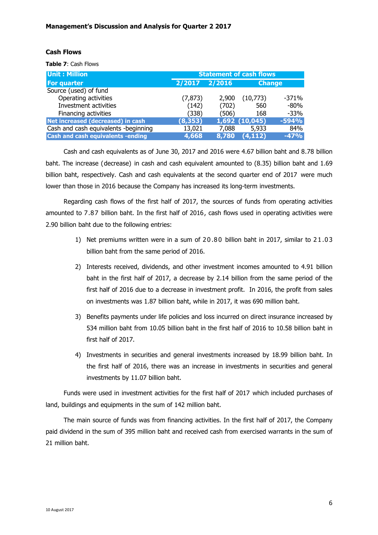## **Cash Flows**

**Table 7**: Cash Flows

| <b>Unit: Million</b>                     | <b>Statement of cash flows</b> |        |                |               |  |  |  |  |
|------------------------------------------|--------------------------------|--------|----------------|---------------|--|--|--|--|
| For quarter                              | 2/2017                         | 2/2016 |                | <b>Change</b> |  |  |  |  |
| Source (used) of fund                    |                                |        |                |               |  |  |  |  |
| Operating activities                     | (7, 873)                       | 2,900  | (10,773)       | $-371%$       |  |  |  |  |
| Investment activities                    | (142)                          | (702)  | 560            | $-80%$        |  |  |  |  |
| Financing activities                     | (338)                          | (506)  | 168            | $-33%$        |  |  |  |  |
| Net increased (decreased) in cash        | (8, 353)                       |        | 1,692 (10,045) | $-594%$       |  |  |  |  |
| Cash and cash equivalents -beginning     | 13,021                         | 7,088  | 5,933          | 84%           |  |  |  |  |
| <b>Cash and cash equivalents -ending</b> | 4,668                          | 8,780  | (4, 112)       | $-47%$        |  |  |  |  |

Cash and cash equivalents as of June 30, 2017 and 2016 were 4.67 billion baht and 8.78 billion baht. The increase (decrease) in cash and cash equivalent amounted to (8.35) billion baht and 1.69 billion baht, respectively. Cash and cash equivalents at the second quarter end of 2017 were much lower than those in 2016 because the Company has increased its long-term investments.

Regarding cash flows of the first half of 2017, the sources of funds from operating activities amounted to 7.87 billion baht. In the first half of 2016, cash flows used in operating activities were 2.90 billion baht due to the following entries:

- 1) Net premiums written were in a sum of 20.80 billion baht in 2017, similar to 21.03 billion baht from the same period of 2016.
- 2) Interests received, dividends, and other investment incomes amounted to 4.91 billion baht in the first half of 2017, a decrease by 2.14 billion from the same period of the first half of 2016 due to a decrease in investment profit. In 2016, the profit from sales on investments was 1.87 billion baht, while in 2017, it was 690 million baht.
- 3) Benefits payments under life policies and loss incurred on direct insurance increased by 534 million baht from 10.05 billion baht in the first half of 2016 to 10.58 billion baht in first half of 2017.
- 4) Investments in securities and general investments increased by 18.99 billion baht. In the first half of 2016, there was an increase in investments in securities and general investments by 11.07 billion baht.

Funds were used in investment activities for the first half of 2017 which included purchases of land, buildings and equipments in the sum of 142 million baht.

The main source of funds was from financing activities. In the first half of 2017, the Company paid dividend in the sum of 395 million baht and received cash from exercised warrants in the sum of 21 million baht.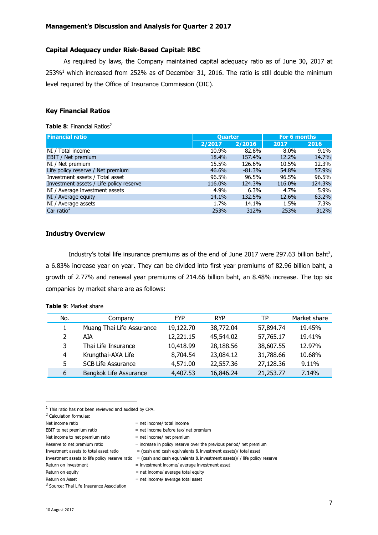## **Capital Adequacy under Risk-Based Capital: RBC**

As required by laws, the Company maintained capital adequacy ratio as of June 30, 2017 at  $253\%$ <sup>1</sup> which increased from 252% as of December 31, 2016. The ratio is still double the minimum level required by the Office of Insurance Commission (OIC).

# **Key Financial Ratios**

#### **Table 8: Financial Ratios<sup>2</sup>**

| <b>Financial ratio</b>                  | <b>Quarter</b> |          | For 6 months |         |
|-----------------------------------------|----------------|----------|--------------|---------|
|                                         | 2/2017         | 2/2016   | 2017         | 2016    |
| NI / Total income                       | 10.9%          | 82.8%    | $8.0\%$      | 9.1%    |
| EBIT / Net premium                      | 18.4%          | 157.4%   | 12.2%        | 14.7%   |
| NI / Net premium                        | 15.5%          | 126.6%   | 10.5%        | 12.3%   |
| Life policy reserve / Net premium       | 46.6%          | $-81.3%$ | 54.8%        | 57.9%   |
| Investment assets / Total asset         | 96.5%          | 96.5%    | 96.5%        | 96.5%   |
| Investment assets / Life policy reserve | 116.0%         | 124.3%   | 116.0%       | 124.3%  |
| NI / Average investment assets          | 4.9%           | 6.3%     | 4.7%         | 5.9%    |
| NI / Average equity                     | 14.1%          | 132.5%   | 12.6%        | 63.2%   |
| NI / Average assets                     | 1.7%           | 14.1%    | 1.5%         | $7.3\%$ |
| Car ratio $1$                           | 253%           | 312%     | 253%         | 312%    |

#### **Industry Overview**

Industry's total life insurance premiums as of the end of June 2017 were 297.63 billion baht<sup>3</sup>, a 6.83% increase year on year. They can be divided into first year premiums of 82.96 billion baht, a growth of 2.77% and renewal year premiums of 214.66 billion baht, an 8.48% increase. The top six companies by market share are as follows:

| No. | Company                   | <b>FYP</b> | <b>RYP</b> | ТP        | Market share |
|-----|---------------------------|------------|------------|-----------|--------------|
| 1   | Muang Thai Life Assurance | 19,122.70  | 38,772.04  | 57,894.74 | 19.45%       |
| 2   | AIA                       | 12,221.15  | 45,544.02  | 57,765.17 | 19.41%       |
| 3   | Thai Life Insurance       | 10,418.99  | 28,188.56  | 38,607.55 | 12.97%       |
| 4   | Krungthai-AXA Life        | 8,704.54   | 23,084.12  | 31,788.66 | 10.68%       |
| 5   | <b>SCB Life Assurance</b> | 4,571.00   | 22,557.36  | 27,128.36 | 9.11%        |
| 6   | Bangkok Life Assurance    | 4,407.53   | 16,846.24  | 21,253.77 | 7.14%        |

## **Table 9**: Market share

 $<sup>1</sup>$  This ratio has not been reviewed and audited by CPA.</sup>

<sup>2</sup> Calculation formulas:

 $\overline{a}$ 

Net income ratio  $=$  net income/ total income EBIT to net premium ratio  $=$  net income before tax/ net premium Net income to net premium ratio  $=$  net income/ net premium Reserve to net premium ratio  $=$  increase in policy reserve over the previous period/ net premium Investment assets to total asset ratio  $=$  (cash and cash equivalents & investment assets)/ total asset Investment assets to life policy reserve ratio = (cash and cash equivalents & investment assets)/ / life policy reserve Return on investment = investment = investment income/ average investment asset

Return on equity  $=$  net income/ average total equity

 $Return on Asset = net income/ average total asset$ 

<sup>&</sup>lt;sup>3</sup> Source: Thai Life Insurance Association